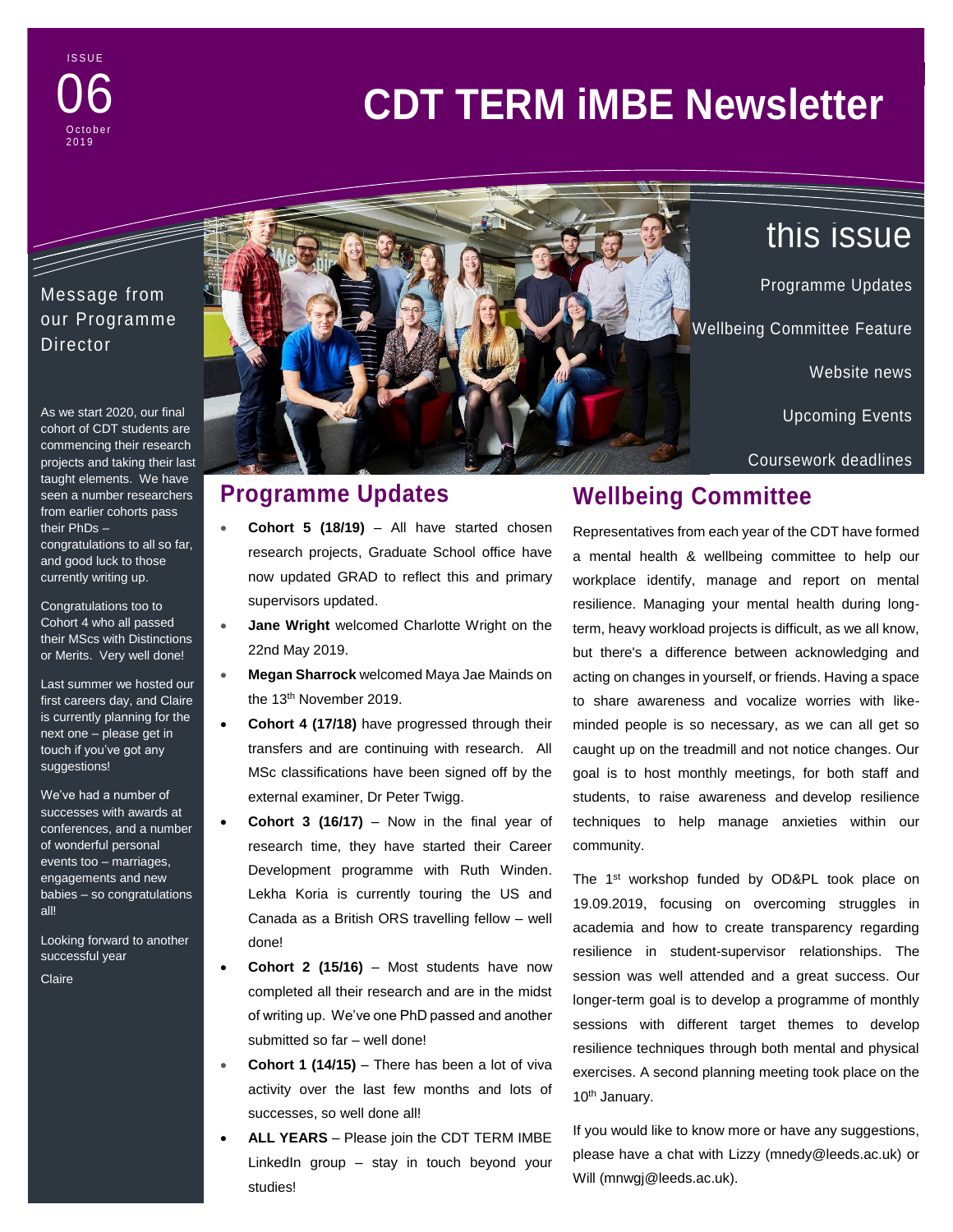**ISSUE**  $-0.0 - 0.0$ 06 October 2 0 1 9

# **CDT TERM iMBE Newsletter**

## Message from our Programme **Director**

and the same of the same of the same

As we start 2020, our final cohort of CDT students are commencing their research projects and taking their last taught elements. We have seen a number researchers from earlier cohorts pass their PhDs – congratulations to all so far,

and good luck to those currently writing up.

Congratulations too to Cohort 4 who all passed their MScs with Distinctions or Merits. Very well done!

Last summer we hosted our first careers day, and Claire is currently planning for the next one – please get in touch if you've got any suggestions!

We've had a number of successes with awards at conferences, and a number of wonderful personal events too – marriages, engagements and new babies – so congratulations all!

Looking forward to another successful year

Claire



Programme Updates Wellbeing Committee Feature

Website news

Upcoming Events

this issue

Coursework deadlines

# **Programme Updates**

- **Cohort 5 (18/19)** All have started chosen research projects, Graduate School office have now updated GRAD to reflect this and primary supervisors updated.
- **Jane Wright** welcomed Charlotte Wright on the 22nd May 2019.
	- **Megan Sharrock** welcomed Maya Jae Mainds on the 13<sup>th</sup> November 2019.
	- **Cohort 4 (17/18)** have progressed through their transfers and are continuing with research. All MSc classifications have been signed off by the external examiner, Dr Peter Twigg.
	- **Cohort 3 (16/17)** Now in the final year of research time, they have started their Career Development programme with Ruth Winden. Lekha Koria is currently touring the US and Canada as a British ORS travelling fellow – well done!
- **Cohort 2 (15/16)** Most students have now completed all their research and are in the midst of writing up. We've one PhD passed and another submitted so far – well done!
- **Cohort 1 (14/15)** There has been a lot of viva activity over the last few months and lots of successes, so well done all!
- **ALL YEARS** Please join the CDT TERM IMBE LinkedIn group – stay in touch beyond your studies!

# **Wellbeing Committee**

Representatives from each year of the CDT have formed a mental health & wellbeing committee to help our workplace identify, manage and report on mental resilience. Managing your mental health during longterm, heavy workload projects is difficult, as we all know, but there's a difference between acknowledging and acting on changes in yourself, or friends. Having a space to share awareness and vocalize worries with likeminded people is so necessary, as we can all get so caught up on the treadmill and not notice changes. Our goal is to host monthly meetings, for both staff and students, to raise awareness and develop resilience techniques to help manage anxieties within our community.

The 1<sup>st</sup> workshop funded by OD&PL took place on 19.09.2019, focusing on overcoming struggles in academia and how to create transparency regarding resilience in student-supervisor relationships. The session was well attended and a great success. Our longer-term goal is to develop a programme of monthly sessions with different target themes to develop resilience techniques through both mental and physical exercises. A second planning meeting took place on the 10<sup>th</sup> January.

If you would like to know more or have any suggestions, please have a chat with Lizzy (mnedy@leeds.ac.uk) or Will (mnwgj@leeds.ac.uk).